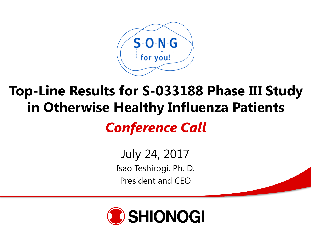

## **Top-Line Results for S-033188 Phase III Study in Otherwise Healthy Influenza Patients** *Conference Call*

July 24, 2017 Isao Teshirogi, Ph. D. President and CEO

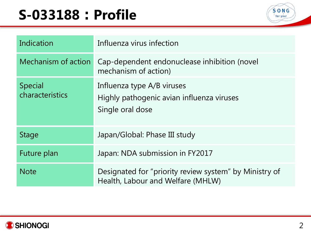## **S-033188:Profile**



| Indication                        | Influenza virus infection                                                                   |
|-----------------------------------|---------------------------------------------------------------------------------------------|
| Mechanism of action               | Cap-dependent endonuclease inhibition (novel<br>mechanism of action)                        |
| <b>Special</b><br>characteristics | Influenza type A/B viruses<br>Highly pathogenic avian influenza viruses<br>Single oral dose |
| <b>Stage</b>                      | Japan/Global: Phase III study                                                               |
| Future plan                       | Japan: NDA submission in FY2017                                                             |
| <b>Note</b>                       | Designated for "priority review system" by Ministry of<br>Health, Labour and Welfare (MHLW) |

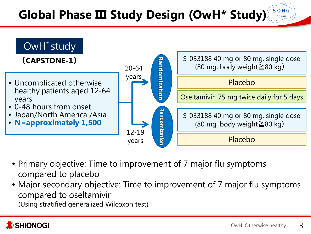#### $S$   $O$   $N$   $G$ **Global Phase III Study Design (OwH\* Study)** for you!



- Primary objective: Time to improvement of 7 major flu symptoms compared to placebo
- Major secondary objective: Time to improvement of 7 major flu symptoms compared to oseltamivir

(Using stratified generalized Wilcoxon test)

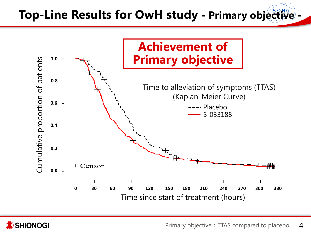## **Top-Line Results for OwH study - Primary objective -**



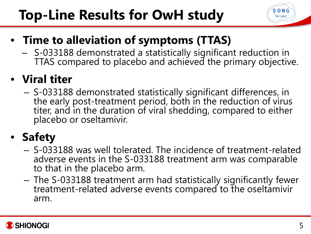# **Top-Line Results for OwH study**



#### • **Time to alleviation of symptoms (TTAS)**

– S-033188 demonstrated a statistically significant reduction in TTAS compared to placebo and achieved the primary objective.

#### • **Viral titer**

– S-033188 demonstrated statistically significant differences, in the early post-treatment period, both in the reduction of virus titer, and in the duration of viral shedding, compared to either placebo or oseltamivir.

#### • **Safety**

- S-033188 was well tolerated. The incidence of treatment-related adverse events in the S-033188 treatment arm was comparable to that in the placebo arm.
- The S-033188 treatment arm had statistically significantly fewer treatment-related adverse events compared to the oseltamivir arm.

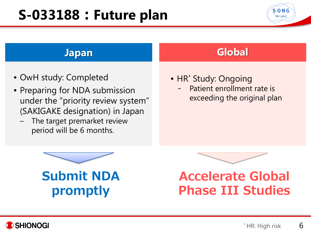## **S-033188:Future plan**



- OwH study: Completed
- Preparing for NDA submission under the "priority review system" (SAKIGAKE designation) in Japan
	- The target premarket review period will be 6 months.

#### **Japan Global**

- HR<sup>\*</sup> Study: Ongoing
	- Patient enrollment rate is exceeding the original plan



**Submit NDA promptly**



#### **Accelerate Global Phase III Studies**

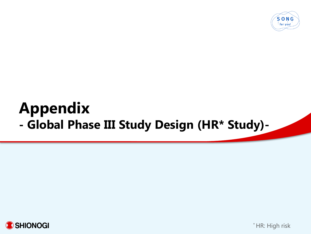

## **Appendix - Global Phase III Study Design (HR\* Study)-**



\* HR: High risk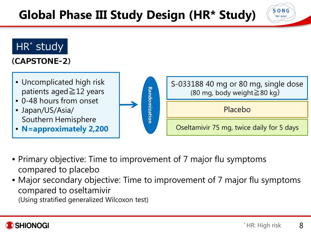#### HR\* study

#### **(CAPSTONE-2)**

- Uncomplicated high risk patients aged≧12 years
- 0-48 hours from onset
- Japan/US/Asia/ Southern Hemisphere
- **N=approximately 2,200**



- Primary objective: Time to improvement of 7 major flu symptoms compared to placebo
- Major secondary objective: Time to improvement of 7 major flu symptoms compared to oseltamivir (Using stratified generalized Wilcoxon test)



 $S$  O N G for you!